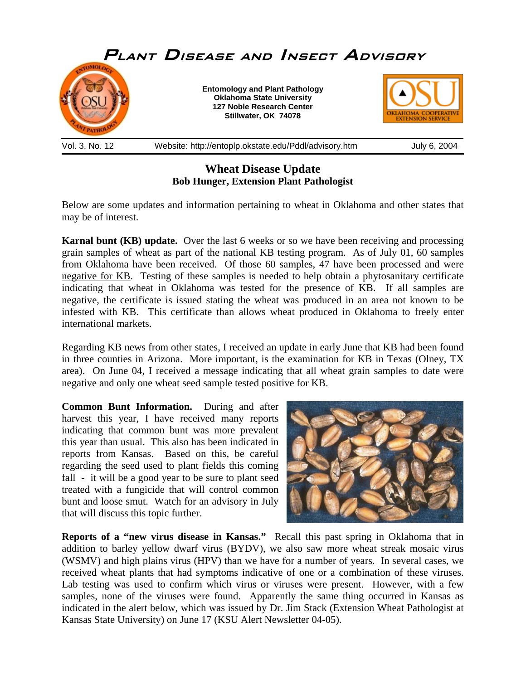

## **Wheat Disease Update Bob Hunger, Extension Plant Pathologist**

Below are some updates and information pertaining to wheat in Oklahoma and other states that may be of interest.

**Karnal bunt (KB) update.** Over the last 6 weeks or so we have been receiving and processing grain samples of wheat as part of the national KB testing program. As of July 01, 60 samples from Oklahoma have been received. Of those 60 samples, 47 have been processed and were negative for KB. Testing of these samples is needed to help obtain a phytosanitary certificate indicating that wheat in Oklahoma was tested for the presence of KB. If all samples are negative, the certificate is issued stating the wheat was produced in an area not known to be infested with KB. This certificate than allows wheat produced in Oklahoma to freely enter international markets.

Regarding KB news from other states, I received an update in early June that KB had been found in three counties in Arizona. More important, is the examination for KB in Texas (Olney, TX area). On June 04, I received a message indicating that all wheat grain samples to date were negative and only one wheat seed sample tested positive for KB.

**Common Bunt Information.** During and after harvest this year, I have received many reports indicating that common bunt was more prevalent this year than usual. This also has been indicated in reports from Kansas. Based on this, be careful regarding the seed used to plant fields this coming fall - it will be a good year to be sure to plant seed treated with a fungicide that will control common bunt and loose smut. Watch for an advisory in July that will discuss this topic further.



**Reports of a "new virus disease in Kansas."** Recall this past spring in Oklahoma that in addition to barley yellow dwarf virus (BYDV), we also saw more wheat streak mosaic virus (WSMV) and high plains virus (HPV) than we have for a number of years. In several cases, we received wheat plants that had symptoms indicative of one or a combination of these viruses. Lab testing was used to confirm which virus or viruses were present. However, with a few samples, none of the viruses were found. Apparently the same thing occurred in Kansas as indicated in the alert below, which was issued by Dr. Jim Stack (Extension Wheat Pathologist at Kansas State University) on June 17 (KSU Alert Newsletter 04-05).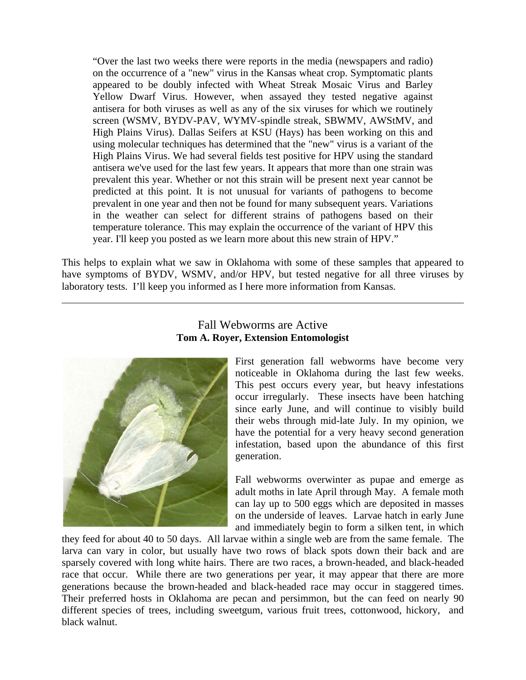"Over the last two weeks there were reports in the media (newspapers and radio) on the occurrence of a "new" virus in the Kansas wheat crop. Symptomatic plants appeared to be doubly infected with Wheat Streak Mosaic Virus and Barley Yellow Dwarf Virus. However, when assayed they tested negative against antisera for both viruses as well as any of the six viruses for which we routinely screen (WSMV, BYDV-PAV, WYMV-spindle streak, SBWMV, AWStMV, and High Plains Virus). Dallas Seifers at KSU (Hays) has been working on this and using molecular techniques has determined that the "new" virus is a variant of the High Plains Virus. We had several fields test positive for HPV using the standard antisera we've used for the last few years. It appears that more than one strain was prevalent this year. Whether or not this strain will be present next year cannot be predicted at this point. It is not unusual for variants of pathogens to become prevalent in one year and then not be found for many subsequent years. Variations in the weather can select for different strains of pathogens based on their temperature tolerance. This may explain the occurrence of the variant of HPV this year. I'll keep you posted as we learn more about this new strain of HPV."

This helps to explain what we saw in Oklahoma with some of these samples that appeared to have symptoms of BYDV, WSMV, and/or HPV, but tested negative for all three viruses by laboratory tests. I'll keep you informed as I here more information from Kansas.



 $\overline{a}$ 

## Fall Webworms are Active **Tom A. Royer, Extension Entomologist**

First generation fall webworms have become very noticeable in Oklahoma during the last few weeks. This pest occurs every year, but heavy infestations occur irregularly. These insects have been hatching since early June, and will continue to visibly build their webs through mid-late July. In my opinion, we have the potential for a very heavy second generation infestation, based upon the abundance of this first generation.

Fall webworms overwinter as pupae and emerge as adult moths in late April through May. A female moth can lay up to 500 eggs which are deposited in masses on the underside of leaves. Larvae hatch in early June and immediately begin to form a silken tent, in which

they feed for about 40 to 50 days. All larvae within a single web are from the same female. The larva can vary in color, but usually have two rows of black spots down their back and are sparsely covered with long white hairs. There are two races, a brown-headed, and black-headed race that occur. While there are two generations per year, it may appear that there are more generations because the brown-headed and black-headed race may occur in staggered times. Their preferred hosts in Oklahoma are pecan and persimmon, but the can feed on nearly 90 different species of trees, including sweetgum, various fruit trees, cottonwood, hickory, and black walnut.